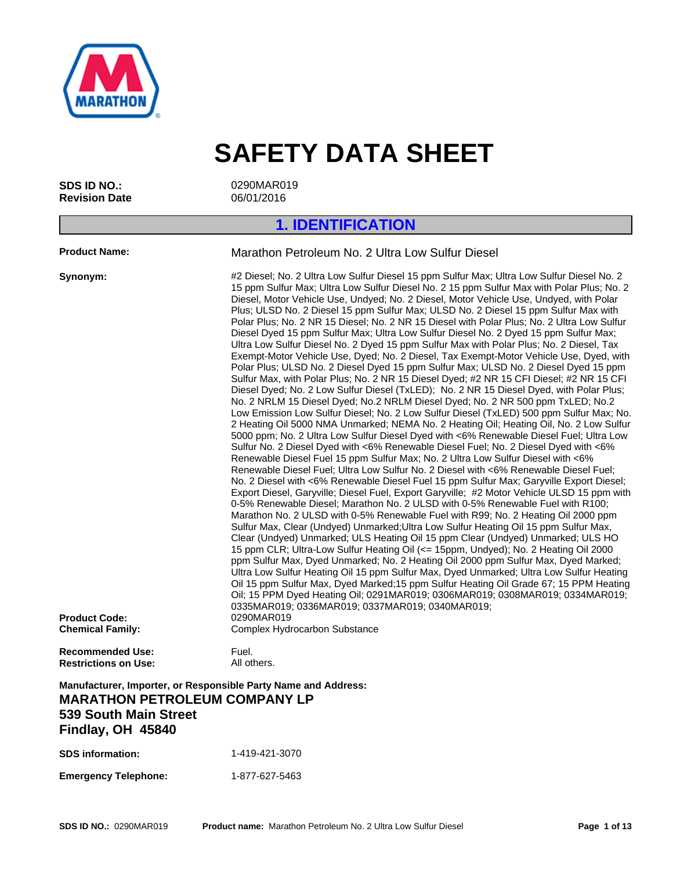

# **SAFETY DATA SHEET**

**SDS ID NO.:** 0290MAR019 **Revision Date** 06/01/2016

### **1. IDENTIFICATION**

**Product Name:** Marathon Petroleum No. 2 Ultra Low Sulfur Diesel

**Synonym:** #2 Diesel; No. 2 Ultra Low Sulfur Diesel 15 ppm Sulfur Max; Ultra Low Sulfur Diesel No. 2 15 ppm Sulfur Max; Ultra Low Sulfur Diesel No. 2 15 ppm Sulfur Max with Polar Plus; No. 2 Diesel, Motor Vehicle Use, Undyed; No. 2 Diesel, Motor Vehicle Use, Undyed, with Polar Plus; ULSD No. 2 Diesel 15 ppm Sulfur Max; ULSD No. 2 Diesel 15 ppm Sulfur Max with Polar Plus; No. 2 NR 15 Diesel; No. 2 NR 15 Diesel with Polar Plus; No. 2 Ultra Low Sulfur Diesel Dyed 15 ppm Sulfur Max; Ultra Low Sulfur Diesel No. 2 Dyed 15 ppm Sulfur Max; Ultra Low Sulfur Diesel No. 2 Dyed 15 ppm Sulfur Max with Polar Plus; No. 2 Diesel, Tax Exempt-Motor Vehicle Use, Dyed; No. 2 Diesel, Tax Exempt-Motor Vehicle Use, Dyed, with Polar Plus; ULSD No. 2 Diesel Dyed 15 ppm Sulfur Max; ULSD No. 2 Diesel Dyed 15 ppm Sulfur Max, with Polar Plus; No. 2 NR 15 Diesel Dyed; #2 NR 15 CFI Diesel; #2 NR 15 CFI Diesel Dyed; No. 2 Low Sulfur Diesel (TxLED); No. 2 NR 15 Diesel Dyed, with Polar Plus; No. 2 NRLM 15 Diesel Dyed; No.2 NRLM Diesel Dyed; No. 2 NR 500 ppm TxLED; No.2 Low Emission Low Sulfur Diesel; No. 2 Low Sulfur Diesel (TxLED) 500 ppm Sulfur Max; No. 2 Heating Oil 5000 NMA Unmarked; NEMA No. 2 Heating Oil; Heating Oil, No. 2 Low Sulfur 5000 ppm; No. 2 Ultra Low Sulfur Diesel Dyed with <6% Renewable Diesel Fuel; Ultra Low Sulfur No. 2 Diesel Dyed with <6% Renewable Diesel Fuel; No. 2 Diesel Dyed with <6% Renewable Diesel Fuel 15 ppm Sulfur Max; No. 2 Ultra Low Sulfur Diesel with <6% Renewable Diesel Fuel; Ultra Low Sulfur No. 2 Diesel with <6% Renewable Diesel Fuel; No. 2 Diesel with <6% Renewable Diesel Fuel 15 ppm Sulfur Max; Garyville Export Diesel; Export Diesel, Garyville; Diesel Fuel, Export Garyville; #2 Motor Vehicle ULSD 15 ppm with 0-5% Renewable Diesel; Marathon No. 2 ULSD with 0-5% Renewable Fuel with R100; Marathon No. 2 ULSD with 0-5% Renewable Fuel with R99; No. 2 Heating Oil 2000 ppm Sulfur Max, Clear (Undyed) Unmarked;Ultra Low Sulfur Heating Oil 15 ppm Sulfur Max, Clear (Undyed) Unmarked; ULS Heating Oil 15 ppm Clear (Undyed) Unmarked; ULS HO 15 ppm CLR; Ultra-Low Sulfur Heating Oil (<= 15ppm, Undyed); No. 2 Heating Oil 2000 ppm Sulfur Max, Dyed Unmarked; No. 2 Heating Oil 2000 ppm Sulfur Max, Dyed Marked; Ultra Low Sulfur Heating Oil 15 ppm Sulfur Max, Dyed Unmarked; Ultra Low Sulfur Heating Oil 15 ppm Sulfur Max, Dyed Marked;15 ppm Sulfur Heating Oil Grade 67; 15 PPM Heating Oil; 15 PPM Dyed Heating Oil; 0291MAR019; 0306MAR019; 0308MAR019; 0334MAR019; 0335MAR019; 0336MAR019; 0337MAR019; 0340MAR019; Product Code: 0290MAR019 **Chemical Family:** Complex Hydrocarbon Substance

**Recommended Use:** Fuel.

**Restrictions on Use:** All others.

### **Manufacturer, Importer, or Responsible Party Name and Address: MARATHON PETROLEUM COMPANY LP 539 South Main Street Findlay, OH 45840**

| <b>SDS</b> information:     | 1-419-421-3070 |
|-----------------------------|----------------|
| <b>Emergency Telephone:</b> | 1-877-627-5463 |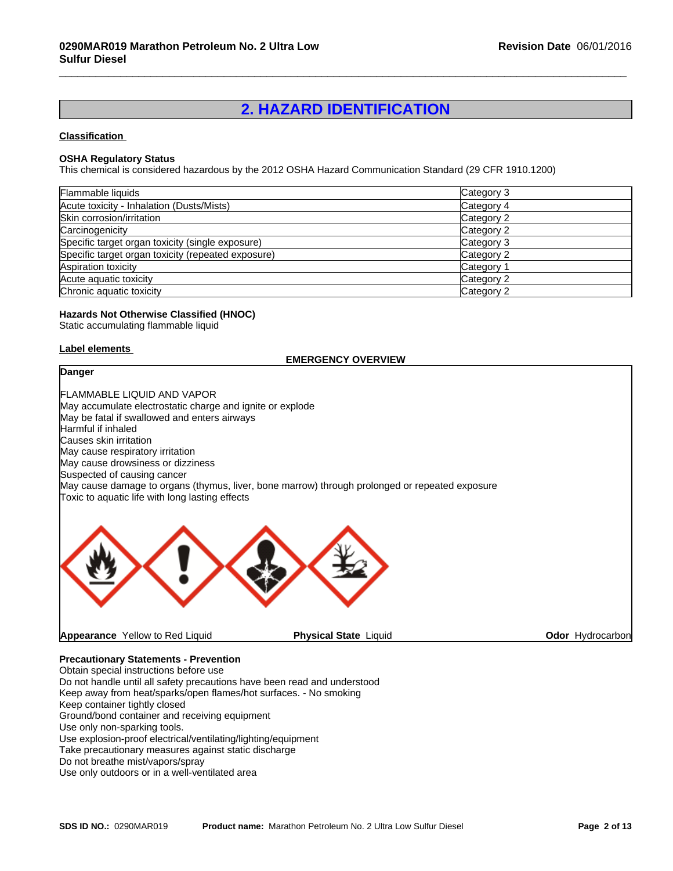### **2. HAZARD IDENTIFICATION**

 $\overline{\phantom{a}}$  ,  $\overline{\phantom{a}}$  ,  $\overline{\phantom{a}}$  ,  $\overline{\phantom{a}}$  ,  $\overline{\phantom{a}}$  ,  $\overline{\phantom{a}}$  ,  $\overline{\phantom{a}}$  ,  $\overline{\phantom{a}}$  ,  $\overline{\phantom{a}}$  ,  $\overline{\phantom{a}}$  ,  $\overline{\phantom{a}}$  ,  $\overline{\phantom{a}}$  ,  $\overline{\phantom{a}}$  ,  $\overline{\phantom{a}}$  ,  $\overline{\phantom{a}}$  ,  $\overline{\phantom{a}}$ 

### **Classification**

### **OSHA Regulatory Status**

This chemical is considered hazardous by the 2012 OSHA Hazard Communication Standard (29 CFR 1910.1200)

| Flammable liquids                                  | Category 3 |
|----------------------------------------------------|------------|
| Acute toxicity - Inhalation (Dusts/Mists)          | Category 4 |
| Skin corrosion/irritation                          | Category 2 |
| Carcinogenicity                                    | Category 2 |
| Specific target organ toxicity (single exposure)   | Category 3 |
| Specific target organ toxicity (repeated exposure) | Category 2 |
| Aspiration toxicity                                | Category 1 |
| Acute aguatic toxicity                             | Category 2 |
| Chronic aquatic toxicity                           | Category 2 |

### **Hazards Not Otherwise Classified (HNOC)**

Static accumulating flammable liquid

### **Label elements**

### **EMERGENCY OVERVIEW**

### **Danger**

FLAMMABLE LIQUID AND VAPOR May accumulate electrostatic charge and ignite or explode May be fatal if swallowed and enters airways Harmful if inhaled Causes skin irritation May cause respiratory irritation May cause drowsiness or dizziness Suspected of causing cancer May cause damage to organs (thymus, liver, bone marrow) through prolonged or repeated exposure Toxic to aquatic life with long lasting effects



**Appearance** Yellow to Red Liquid **Physical State** Liquid

**Odor** Hydrocarbon

### **Precautionary Statements - Prevention**

Obtain special instructions before use Do not handle until all safety precautions have been read and understood Keep away from heat/sparks/open flames/hot surfaces. - No smoking Keep container tightly closed Ground/bond container and receiving equipment Use only non-sparking tools. Use explosion-proof electrical/ventilating/lighting/equipment Take precautionary measures against static discharge Do not breathe mist/vapors/spray Use only outdoors or in a well-ventilated area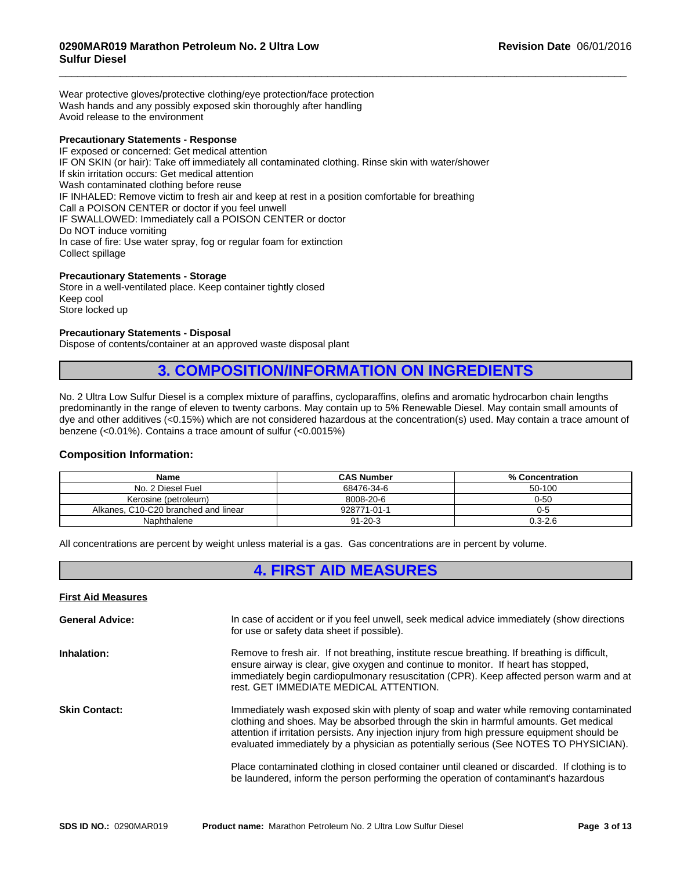Wear protective gloves/protective clothing/eye protection/face protection Wash hands and any possibly exposed skin thoroughly after handling Avoid release to the environment

### **Precautionary Statements - Response**

IF exposed or concerned: Get medical attention IF ON SKIN (or hair): Take off immediately all contaminated clothing. Rinse skin with water/shower If skin irritation occurs: Get medical attention Wash contaminated clothing before reuse IF INHALED: Remove victim to fresh air and keep at rest in a position comfortable for breathing Call a POISON CENTER or doctor if you feel unwell IF SWALLOWED: Immediately call a POISON CENTER or doctor Do NOT induce vomiting In case of fire: Use water spray, fog or regular foam for extinction Collect spillage

### **Precautionary Statements - Storage**

Store in a well-ventilated place. Keep container tightly closed Keep cool Store locked up

### **Precautionary Statements - Disposal**

Dispose of contents/container at an approved waste disposal plant

### **3. COMPOSITION/INFORMATION ON INGREDIENTS**

 $\overline{\phantom{a}}$  ,  $\overline{\phantom{a}}$  ,  $\overline{\phantom{a}}$  ,  $\overline{\phantom{a}}$  ,  $\overline{\phantom{a}}$  ,  $\overline{\phantom{a}}$  ,  $\overline{\phantom{a}}$  ,  $\overline{\phantom{a}}$  ,  $\overline{\phantom{a}}$  ,  $\overline{\phantom{a}}$  ,  $\overline{\phantom{a}}$  ,  $\overline{\phantom{a}}$  ,  $\overline{\phantom{a}}$  ,  $\overline{\phantom{a}}$  ,  $\overline{\phantom{a}}$  ,  $\overline{\phantom{a}}$ 

No. 2 Ultra Low Sulfur Diesel is a complex mixture of paraffins, cycloparaffins, olefins and aromatic hydrocarbon chain lengths predominantly in the range of eleven to twenty carbons. May contain up to 5% Renewable Diesel. May contain small amounts of dye and other additives (<0.15%) which are not considered hazardous at the concentration(s) used. May contain a trace amount of benzene (<0.01%). Contains a trace amount of sulfur (<0.0015%)

### **Composition Information:**

**First Aid Measures**

| Name                                 | <b>CAS Number</b> | % Concentration |
|--------------------------------------|-------------------|-----------------|
| No. 2 Diesel Fuel                    | 68476-34-6        | 50-100          |
| Kerosine (petroleum)                 | 8008-20-6         | $0 - 50$        |
| Alkanes, C10-C20 branched and linear | 928771-01-1       | 0-5             |
| Naphthalene                          | $91 - 20 - 3$     | $0.3 - 2.6$     |

All concentrations are percent by weight unless material is a gas. Gas concentrations are in percent by volume.

### **4. FIRST AID MEASURES**

| <b>FIFST AID MEASURES</b> |                                                                                                                                                                                                                                                                                                                                                                                                                                                                                                                                                                   |
|---------------------------|-------------------------------------------------------------------------------------------------------------------------------------------------------------------------------------------------------------------------------------------------------------------------------------------------------------------------------------------------------------------------------------------------------------------------------------------------------------------------------------------------------------------------------------------------------------------|
| <b>General Advice:</b>    | In case of accident or if you feel unwell, seek medical advice immediately (show directions<br>for use or safety data sheet if possible).                                                                                                                                                                                                                                                                                                                                                                                                                         |
| Inhalation:               | Remove to fresh air. If not breathing, institute rescue breathing. If breathing is difficult,<br>ensure airway is clear, give oxygen and continue to monitor. If heart has stopped,<br>immediately begin cardiopulmonary resuscitation (CPR). Keep affected person warm and at<br>rest. GET IMMEDIATE MEDICAL ATTENTION.                                                                                                                                                                                                                                          |
| <b>Skin Contact:</b>      | Immediately wash exposed skin with plenty of soap and water while removing contaminated<br>clothing and shoes. May be absorbed through the skin in harmful amounts. Get medical<br>attention if irritation persists. Any injection injury from high pressure equipment should be<br>evaluated immediately by a physician as potentially serious (See NOTES TO PHYSICIAN).<br>Place contaminated clothing in closed container until cleaned or discarded. If clothing is to<br>be laundered, inform the person performing the operation of contaminant's hazardous |
|                           |                                                                                                                                                                                                                                                                                                                                                                                                                                                                                                                                                                   |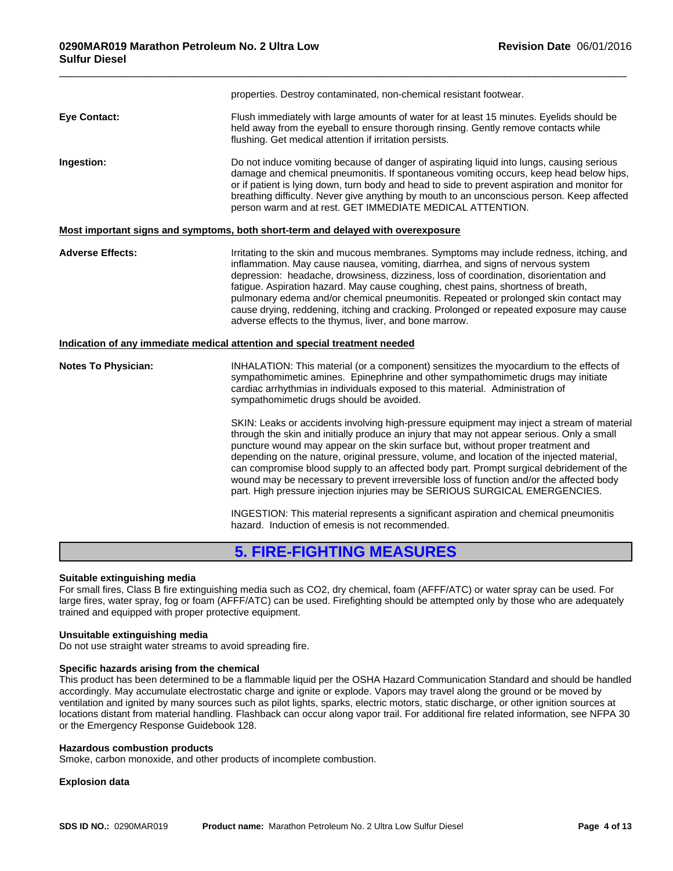|                            | properties. Destroy contaminated, non-chemical resistant footwear.                                                                                                                                                                                                                                                                                                                                                                                                                                                                                                                                                                               |
|----------------------------|--------------------------------------------------------------------------------------------------------------------------------------------------------------------------------------------------------------------------------------------------------------------------------------------------------------------------------------------------------------------------------------------------------------------------------------------------------------------------------------------------------------------------------------------------------------------------------------------------------------------------------------------------|
| <b>Eye Contact:</b>        | Flush immediately with large amounts of water for at least 15 minutes. Eyelids should be<br>held away from the eyeball to ensure thorough rinsing. Gently remove contacts while<br>flushing. Get medical attention if irritation persists.                                                                                                                                                                                                                                                                                                                                                                                                       |
| Ingestion:                 | Do not induce vomiting because of danger of aspirating liquid into lungs, causing serious<br>damage and chemical pneumonitis. If spontaneous vomiting occurs, keep head below hips,<br>or if patient is lying down, turn body and head to side to prevent aspiration and monitor for<br>breathing difficulty. Never give anything by mouth to an unconscious person. Keep affected<br>person warm and at rest. GET IMMEDIATE MEDICAL ATTENTION.                                                                                                                                                                                                  |
|                            | Most important signs and symptoms, both short-term and delayed with overexposure                                                                                                                                                                                                                                                                                                                                                                                                                                                                                                                                                                 |
| <b>Adverse Effects:</b>    | Irritating to the skin and mucous membranes. Symptoms may include redness, itching, and<br>inflammation. May cause nausea, vomiting, diarrhea, and signs of nervous system<br>depression: headache, drowsiness, dizziness, loss of coordination, disorientation and<br>fatigue. Aspiration hazard. May cause coughing, chest pains, shortness of breath,<br>pulmonary edema and/or chemical pneumonitis. Repeated or prolonged skin contact may<br>cause drying, reddening, itching and cracking. Prolonged or repeated exposure may cause<br>adverse effects to the thymus, liver, and bone marrow.                                             |
|                            | Indication of any immediate medical attention and special treatment needed                                                                                                                                                                                                                                                                                                                                                                                                                                                                                                                                                                       |
| <b>Notes To Physician:</b> | INHALATION: This material (or a component) sensitizes the myocardium to the effects of<br>sympathomimetic amines. Epinephrine and other sympathomimetic drugs may initiate<br>cardiac arrhythmias in individuals exposed to this material. Administration of<br>sympathomimetic drugs should be avoided.                                                                                                                                                                                                                                                                                                                                         |
|                            | SKIN: Leaks or accidents involving high-pressure equipment may inject a stream of material<br>through the skin and initially produce an injury that may not appear serious. Only a small<br>puncture wound may appear on the skin surface but, without proper treatment and<br>depending on the nature, original pressure, volume, and location of the injected material,<br>can compromise blood supply to an affected body part. Prompt surgical debridement of the<br>wound may be necessary to prevent irreversible loss of function and/or the affected body<br>part. High pressure injection injuries may be SERIOUS SURGICAL EMERGENCIES. |
|                            | INGESTION: This material represents a significant aspiration and chemical pneumonitis<br>hazard. Induction of emesis is not recommended.                                                                                                                                                                                                                                                                                                                                                                                                                                                                                                         |
|                            |                                                                                                                                                                                                                                                                                                                                                                                                                                                                                                                                                                                                                                                  |

### **Suitable extinguishing media**

For small fires, Class B fire extinguishing media such as CO2, dry chemical, foam (AFFF/ATC) or water spray can be used. For large fires, water spray, fog or foam (AFFF/ATC) can be used. Firefighting should be attempted only by those who are adequately trained and equipped with proper protective equipment.

**5. FIRE-FIGHTING MEASURES**

### **Unsuitable extinguishing media**

Do not use straight water streams to avoid spreading fire.

### **Specific hazards arising from the chemical**

This product has been determined to be a flammable liquid per the OSHA Hazard Communication Standard and should be handled accordingly. May accumulate electrostatic charge and ignite or explode. Vapors may travel along the ground or be moved by ventilation and ignited by many sources such as pilot lights, sparks, electric motors, static discharge, or other ignition sources at locations distant from material handling. Flashback can occur along vapor trail. For additional fire related information, see NFPA 30 or the Emergency Response Guidebook 128.

#### **Hazardous combustion products**

Smoke, carbon monoxide, and other products of incomplete combustion.

### **Explosion data**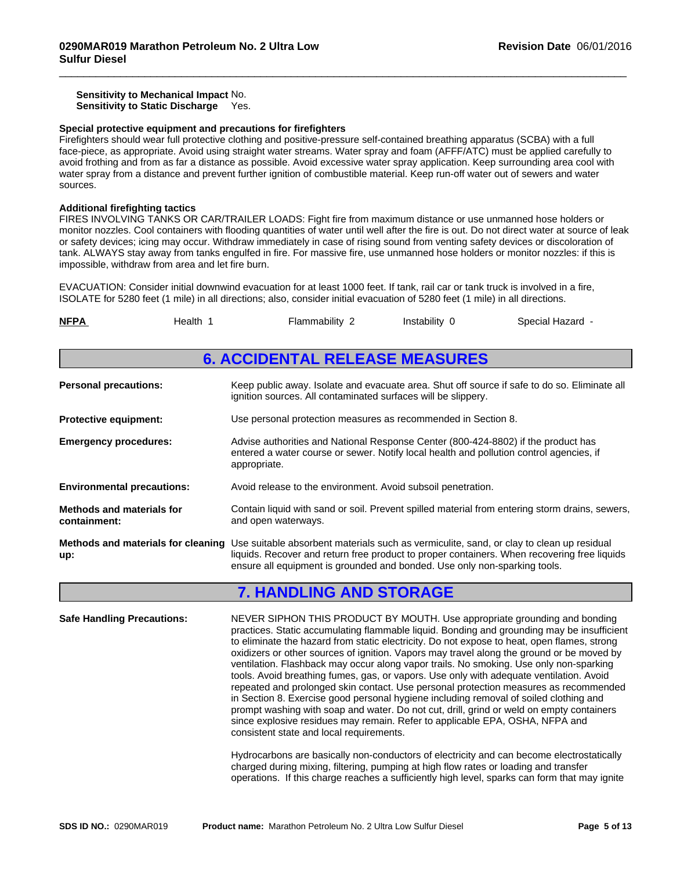#### **Sensitivity to Mechanical Impact** No. **Sensitivity to Static Discharge** Yes.

#### **Special protective equipment and precautions for firefighters**

Firefighters should wear full protective clothing and positive-pressure self-contained breathing apparatus (SCBA) with a full face-piece, as appropriate. Avoid using straight water streams. Water spray and foam (AFFF/ATC) must be applied carefully to avoid frothing and from as far a distance as possible. Avoid excessive water spray application. Keep surrounding area cool with water spray from a distance and prevent further ignition of combustible material. Keep run-off water out of sewers and water sources.

 $\overline{\phantom{a}}$  ,  $\overline{\phantom{a}}$  ,  $\overline{\phantom{a}}$  ,  $\overline{\phantom{a}}$  ,  $\overline{\phantom{a}}$  ,  $\overline{\phantom{a}}$  ,  $\overline{\phantom{a}}$  ,  $\overline{\phantom{a}}$  ,  $\overline{\phantom{a}}$  ,  $\overline{\phantom{a}}$  ,  $\overline{\phantom{a}}$  ,  $\overline{\phantom{a}}$  ,  $\overline{\phantom{a}}$  ,  $\overline{\phantom{a}}$  ,  $\overline{\phantom{a}}$  ,  $\overline{\phantom{a}}$ 

#### **Additional firefighting tactics**

FIRES INVOLVING TANKS OR CAR/TRAILER LOADS: Fight fire from maximum distance or use unmanned hose holders or monitor nozzles. Cool containers with flooding quantities of water until well after the fire is out. Do not direct water at source of leak or safety devices; icing may occur. Withdraw immediately in case of rising sound from venting safety devices or discoloration of tank. ALWAYS stay away from tanks engulfed in fire. For massive fire, use unmanned hose holders or monitor nozzles: if this is impossible, withdraw from area and let fire burn.

EVACUATION: Consider initial downwind evacuation for atleast 1000 feet. If tank, rail car or tank truck is involved in a fire, ISOLATE for 5280 feet (1 mile) in all directions; also, consider initial evacuation of 5280 feet (1 mile) in all directions.

| <b>NFPA</b>                                      | Health 1 | Flammability 2                                                                                                                                                                                                                                                       | Instability 0 | Special Hazard -                                                                               |  |  |
|--------------------------------------------------|----------|----------------------------------------------------------------------------------------------------------------------------------------------------------------------------------------------------------------------------------------------------------------------|---------------|------------------------------------------------------------------------------------------------|--|--|
| <b>6. ACCIDENTAL RELEASE MEASURES</b>            |          |                                                                                                                                                                                                                                                                      |               |                                                                                                |  |  |
| <b>Personal precautions:</b>                     |          | Keep public away. Isolate and evacuate area. Shut off source if safe to do so. Eliminate all<br>ignition sources. All contaminated surfaces will be slippery.                                                                                                        |               |                                                                                                |  |  |
| <b>Protective equipment:</b>                     |          | Use personal protection measures as recommended in Section 8.                                                                                                                                                                                                        |               |                                                                                                |  |  |
| <b>Emergency procedures:</b>                     |          | Advise authorities and National Response Center (800-424-8802) if the product has<br>entered a water course or sewer. Notify local health and pollution control agencies, if<br>appropriate.                                                                         |               |                                                                                                |  |  |
| <b>Environmental precautions:</b>                |          | Avoid release to the environment. Avoid subsoil penetration.                                                                                                                                                                                                         |               |                                                                                                |  |  |
| <b>Methods and materials for</b><br>containment: |          | and open waterways.                                                                                                                                                                                                                                                  |               | Contain liquid with sand or soil. Prevent spilled material from entering storm drains, sewers, |  |  |
| Methods and materials for cleaning<br>up:        |          | Use suitable absorbent materials such as vermiculite, sand, or clay to clean up residual<br>liquids. Recover and return free product to proper containers. When recovering free liquids<br>ensure all equipment is grounded and bonded. Use only non-sparking tools. |               |                                                                                                |  |  |

### **7. HANDLING AND STORAGE**

**Safe Handling Precautions:** NEVER SIPHON THIS PRODUCT BY MOUTH. Use appropriate grounding and bonding practices. Static accumulating flammable liquid. Bonding and grounding may be insufficient to eliminate the hazard from static electricity. Do notexpose to heat, open flames, strong oxidizers or other sources of ignition. Vapors may travel along the ground or be moved by ventilation. Flashback may occur along vapor trails. No smoking. Use only non-sparking tools. Avoid breathing fumes, gas, or vapors. Use only with adequate ventilation. Avoid repeated and prolonged skin contact. Use personal protection measures as recommended in Section 8. Exercise good personal hygiene including removal of soiled clothing and prompt washing with soap and water. Do not cut, drill, grind or weld on empty containers since explosive residues may remain. Refer to applicable EPA, OSHA, NFPA and consistent state and local requirements. Hydrocarbons are basically non-conductors of electricity and can become electrostatically charged during mixing, filtering, pumping at high flow rates or loading and transfer

operations. If this charge reaches a sufficiently high level, sparks can form that may ignite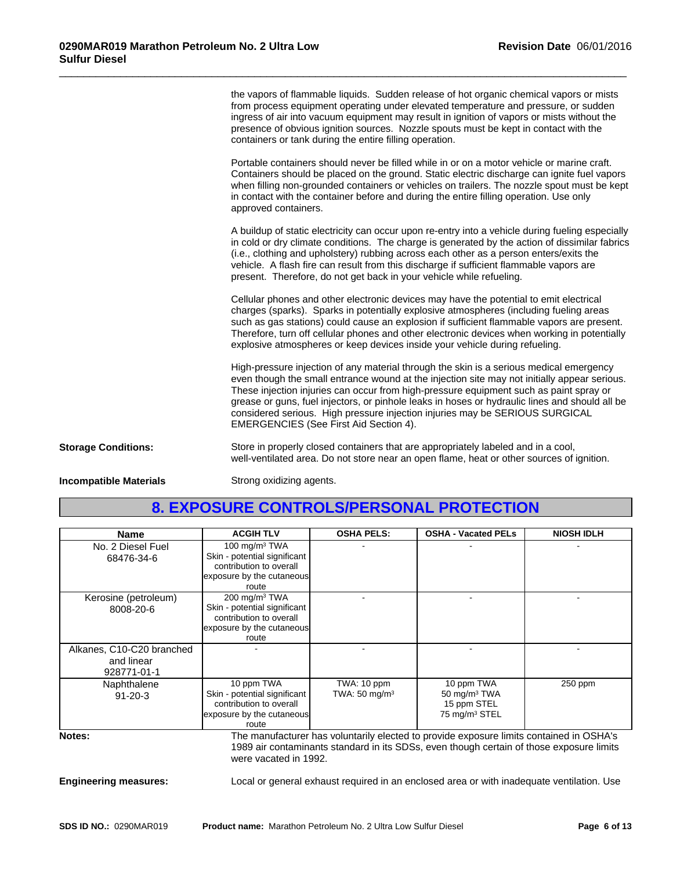|                            | the vapors of flammable liquids. Sudden release of hot organic chemical vapors or mists<br>from process equipment operating under elevated temperature and pressure, or sudden<br>ingress of air into vacuum equipment may result in ignition of vapors or mists without the<br>presence of obvious ignition sources. Nozzle spouts must be kept in contact with the<br>containers or tank during the entire filling operation.                                                                                      |
|----------------------------|----------------------------------------------------------------------------------------------------------------------------------------------------------------------------------------------------------------------------------------------------------------------------------------------------------------------------------------------------------------------------------------------------------------------------------------------------------------------------------------------------------------------|
|                            | Portable containers should never be filled while in or on a motor vehicle or marine craft.<br>Containers should be placed on the ground. Static electric discharge can ignite fuel vapors<br>when filling non-grounded containers or vehicles on trailers. The nozzle spout must be kept<br>in contact with the container before and during the entire filling operation. Use only<br>approved containers.                                                                                                           |
|                            | A buildup of static electricity can occur upon re-entry into a vehicle during fueling especially<br>in cold or dry climate conditions. The charge is generated by the action of dissimilar fabrics<br>(i.e., clothing and upholstery) rubbing across each other as a person enters/exits the<br>vehicle. A flash fire can result from this discharge if sufficient flammable vapors are<br>present. Therefore, do not get back in your vehicle while refueling.                                                      |
|                            | Cellular phones and other electronic devices may have the potential to emit electrical<br>charges (sparks). Sparks in potentially explosive atmospheres (including fueling areas<br>such as gas stations) could cause an explosion if sufficient flammable vapors are present.<br>Therefore, turn off cellular phones and other electronic devices when working in potentially<br>explosive atmospheres or keep devices inside your vehicle during refueling.                                                        |
|                            | High-pressure injection of any material through the skin is a serious medical emergency<br>even though the small entrance wound at the injection site may not initially appear serious.<br>These injection injuries can occur from high-pressure equipment such as paint spray or<br>grease or guns, fuel injectors, or pinhole leaks in hoses or hydraulic lines and should all be<br>considered serious. High pressure injection injuries may be SERIOUS SURGICAL<br><b>EMERGENCIES (See First Aid Section 4).</b> |
| <b>Storage Conditions:</b> | Store in properly closed containers that are appropriately labeled and in a cool,<br>well-ventilated area. Do not store near an open flame, heat or other sources of ignition.                                                                                                                                                                                                                                                                                                                                       |

**Incompatible Materials** Strong oxidizing agents.

### **8. EXPOSURE CONTROLS/PERSONAL PROTECTION**

| <b>Name</b>               | <b>ACGIH TLV</b>             | <b>OSHA PELS:</b> | <b>OSHA - Vacated PELs</b>                                                              | <b>NIOSH IDLH</b> |
|---------------------------|------------------------------|-------------------|-----------------------------------------------------------------------------------------|-------------------|
| No. 2 Diesel Fuel         | 100 mg/m <sup>3</sup> TWA    |                   |                                                                                         |                   |
| 68476-34-6                | Skin - potential significant |                   |                                                                                         |                   |
|                           | contribution to overall      |                   |                                                                                         |                   |
|                           | exposure by the cutaneous    |                   |                                                                                         |                   |
|                           | route                        |                   |                                                                                         |                   |
| Kerosine (petroleum)      | 200 mg/m <sup>3</sup> TWA    |                   |                                                                                         |                   |
| 8008-20-6                 | Skin - potential significant |                   |                                                                                         |                   |
|                           | contribution to overall      |                   |                                                                                         |                   |
|                           | exposure by the cutaneous    |                   |                                                                                         |                   |
|                           | route                        |                   |                                                                                         |                   |
| Alkanes, C10-C20 branched |                              |                   |                                                                                         |                   |
| and linear                |                              |                   |                                                                                         |                   |
| 928771-01-1               |                              |                   |                                                                                         |                   |
| Naphthalene               | 10 ppm TWA                   | TWA: 10 ppm       | 10 ppm TWA                                                                              | 250 ppm           |
| $91 - 20 - 3$             | Skin - potential significant | TWA: 50 mg/m $3$  | 50 mg/m $3$ TWA                                                                         |                   |
|                           | contribution to overall      |                   | 15 ppm STEL                                                                             |                   |
|                           | exposure by the cutaneous    |                   | 75 mg/m <sup>3</sup> STEL                                                               |                   |
|                           | route                        |                   |                                                                                         |                   |
| Notes:                    |                              |                   | The manufacturer has voluntarily elected to provide exposure limits contained in OSHA's |                   |

1989 air contaminants standard in its SDSs, even though certain of those exposure limits were vacated in 1992.

**Engineering measures:**Local or general exhaust required in an enclosed area or with inadequate ventilation. Use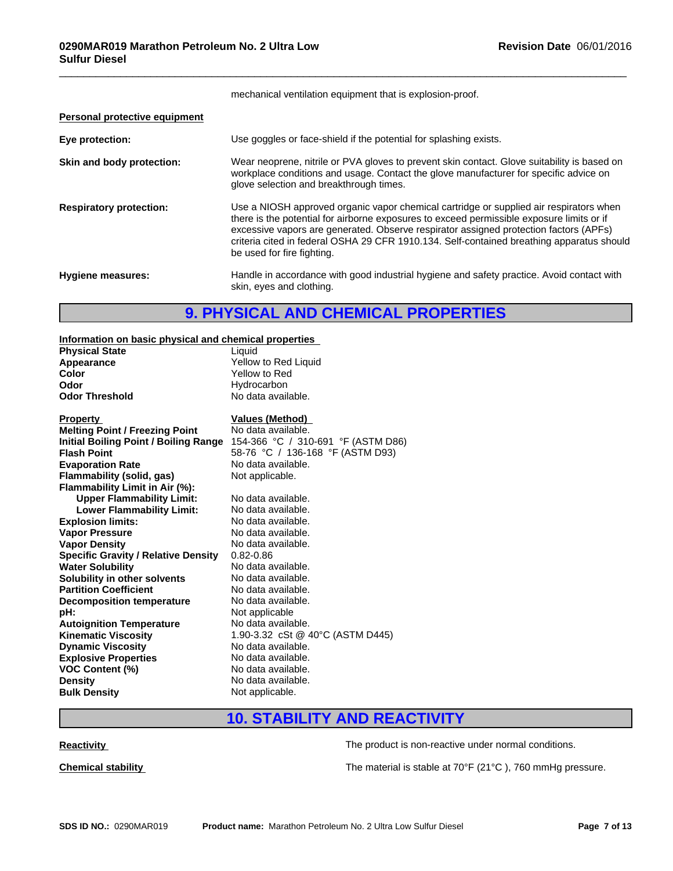|                                      | mechanical ventilation equipment that is explosion-proof.                                                                                                                                                                                                                                                                                                                                               |
|--------------------------------------|---------------------------------------------------------------------------------------------------------------------------------------------------------------------------------------------------------------------------------------------------------------------------------------------------------------------------------------------------------------------------------------------------------|
| <b>Personal protective equipment</b> |                                                                                                                                                                                                                                                                                                                                                                                                         |
| Eye protection:                      | Use goggles or face-shield if the potential for splashing exists.                                                                                                                                                                                                                                                                                                                                       |
| Skin and body protection:            | Wear neoprene, nitrile or PVA gloves to prevent skin contact. Glove suitability is based on<br>workplace conditions and usage. Contact the glove manufacturer for specific advice on<br>glove selection and breakthrough times.                                                                                                                                                                         |
| <b>Respiratory protection:</b>       | Use a NIOSH approved organic vapor chemical cartridge or supplied air respirators when<br>there is the potential for airborne exposures to exceed permissible exposure limits or if<br>excessive vapors are generated. Observe respirator assigned protection factors (APFs)<br>criteria cited in federal OSHA 29 CFR 1910.134. Self-contained breathing apparatus should<br>be used for fire fighting. |
| <b>Hygiene measures:</b>             | Handle in accordance with good industrial hygiene and safety practice. Avoid contact with<br>skin, eyes and clothing.                                                                                                                                                                                                                                                                                   |

## **9. PHYSICAL AND CHEMICAL PROPERTIES**

**Information on basic physical and chemical properties**

| <b>Physical State</b>                      | Liquid                             |
|--------------------------------------------|------------------------------------|
| Appearance                                 | Yellow to Red Liquid               |
| Color                                      | Yellow to Red                      |
| Odor                                       | Hydrocarbon                        |
| <b>Odor Threshold</b>                      | No data available.                 |
| <b>Property</b>                            | <b>Values (Method)</b>             |
| <b>Melting Point / Freezing Point</b>      | No data available.                 |
| Initial Boiling Point / Boiling Range      | 154-366 °C / 310-691 °F (ASTM D86) |
| <b>Flash Point</b>                         | 58-76 °C / 136-168 °F (ASTM D93)   |
| <b>Evaporation Rate</b>                    | No data available.                 |
| Flammability (solid, gas)                  | Not applicable.                    |
| Flammability Limit in Air (%):             |                                    |
| <b>Upper Flammability Limit:</b>           | No data available.                 |
| <b>Lower Flammability Limit:</b>           | No data available.                 |
| <b>Explosion limits:</b>                   | No data available.                 |
| <b>Vapor Pressure</b>                      | No data available.                 |
| <b>Vapor Density</b>                       | No data available.                 |
| <b>Specific Gravity / Relative Density</b> | $0.82 - 0.86$                      |
| <b>Water Solubility</b>                    | No data available.                 |
| Solubility in other solvents               | No data available.                 |
| <b>Partition Coefficient</b>               | No data available.                 |
| <b>Decomposition temperature</b>           | No data available.                 |
| pH:                                        | Not applicable                     |
| <b>Autoignition Temperature</b>            | No data available.                 |
| <b>Kinematic Viscosity</b>                 | 1.90-3.32 cSt @ 40°C (ASTM D445)   |
| <b>Dynamic Viscosity</b>                   | No data available.                 |
| <b>Explosive Properties</b>                | No data available.                 |
| <b>VOC Content (%)</b>                     | No data available.                 |
| <b>Density</b>                             | No data available.                 |
| <b>Bulk Density</b>                        | Not applicable.                    |

## **10. STABILITY AND REACTIVITY**

**Chemical stability** The product is non-reactive under normal conditions.<br> **Chemical stability** The material is stable at 70°F (21°C), 760 mmHg pressure.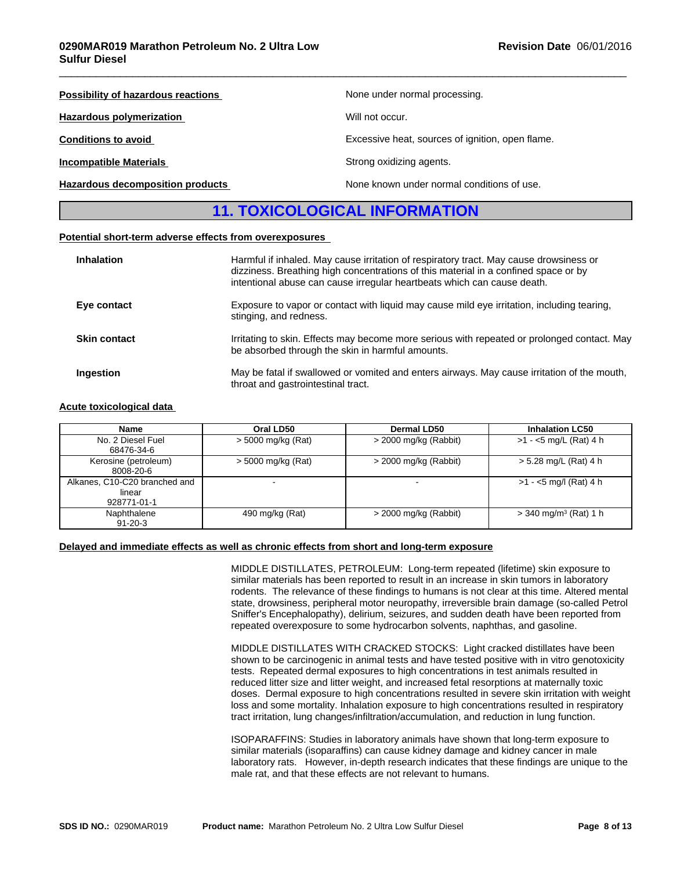| <b>Possibility of hazardous reactions</b> | None under normal processing.                    |
|-------------------------------------------|--------------------------------------------------|
| Hazardous polymerization                  | Will not occur.                                  |
| Conditions to avoid                       | Excessive heat, sources of ignition, open flame. |
| Incompatible Materials                    | Strong oxidizing agents.                         |
| <b>Hazardous decomposition products</b>   | None known under normal conditions of use.       |

### **11. TOXICOLOGICAL INFORMATION**

 $\overline{\phantom{a}}$  ,  $\overline{\phantom{a}}$  ,  $\overline{\phantom{a}}$  ,  $\overline{\phantom{a}}$  ,  $\overline{\phantom{a}}$  ,  $\overline{\phantom{a}}$  ,  $\overline{\phantom{a}}$  ,  $\overline{\phantom{a}}$  ,  $\overline{\phantom{a}}$  ,  $\overline{\phantom{a}}$  ,  $\overline{\phantom{a}}$  ,  $\overline{\phantom{a}}$  ,  $\overline{\phantom{a}}$  ,  $\overline{\phantom{a}}$  ,  $\overline{\phantom{a}}$  ,  $\overline{\phantom{a}}$ 

### **Potential short-term adverse effects from overexposures**

| <b>Inhalation</b>   | Harmful if inhaled. May cause irritation of respiratory tract. May cause drowsiness or<br>dizziness. Breathing high concentrations of this material in a confined space or by<br>intentional abuse can cause irregular heartbeats which can cause death. |
|---------------------|----------------------------------------------------------------------------------------------------------------------------------------------------------------------------------------------------------------------------------------------------------|
| Eye contact         | Exposure to vapor or contact with liquid may cause mild eye irritation, including tearing,<br>stinging, and redness.                                                                                                                                     |
| <b>Skin contact</b> | Irritating to skin. Effects may become more serious with repeated or prolonged contact. May<br>be absorbed through the skin in harmful amounts.                                                                                                          |
| Ingestion           | May be fatal if swallowed or vomited and enters airways. May cause irritation of the mouth,<br>throat and gastrointestinal tract.                                                                                                                        |

### **Acute toxicological data**

| <b>Name</b>                                            | Oral LD50            | <b>Dermal LD50</b>      | <b>Inhalation LC50</b>              |
|--------------------------------------------------------|----------------------|-------------------------|-------------------------------------|
| No. 2 Diesel Fuel<br>68476-34-6                        | > 5000 mg/kg (Rat)   | $>$ 2000 mg/kg (Rabbit) | $>1 - 5$ mg/L (Rat) 4 h             |
| Kerosine (petroleum)<br>8008-20-6                      | $>$ 5000 mg/kg (Rat) | > 2000 mg/kg (Rabbit)   | $> 5.28$ mg/L (Rat) 4 h             |
| Alkanes, C10-C20 branched and<br>linear<br>928771-01-1 |                      |                         | $>1 - 5$ mg/l (Rat) 4 h             |
| Naphthalene<br>$91 - 20 - 3$                           | 490 mg/kg (Rat)      | > 2000 mg/kg (Rabbit)   | $>$ 340 mg/m <sup>3</sup> (Rat) 1 h |

### **Delayed and immediate effects as well as chronic effects from short and long-term exposure**

MIDDLE DISTILLATES, PETROLEUM: Long-term repeated (lifetime) skin exposure to similar materials has been reported to result in an increase in skin tumors in laboratory rodents. The relevance of these findings to humans is not clear at this time. Altered mental state, drowsiness, peripheral motor neuropathy, irreversible brain damage (so-called Petrol Sniffer's Encephalopathy), delirium, seizures, and sudden death have been reported from repeated overexposure to some hydrocarbon solvents, naphthas, and gasoline.

MIDDLE DISTILLATES WITH CRACKED STOCKS: Light cracked distillates have been shown to be carcinogenic in animal tests and have tested positive with in vitro genotoxicity tests. Repeated dermal exposures to high concentrations in test animals resulted in reduced litter size and litter weight, and increased fetal resorptions at maternally toxic doses. Dermal exposure to high concentrations resulted in severe skin irritation with weight loss and some mortality. Inhalation exposure to high concentrations resulted in respiratory tract irritation, lung changes/infiltration/accumulation, and reduction in lung function.

ISOPARAFFINS: Studies in laboratory animals have shown that long-term exposure to similar materials (isoparaffins) can cause kidney damage and kidney cancer in male laboratory rats. However, in-depth research indicates that these findings are unique to the male rat, and that these effects are not relevant to humans.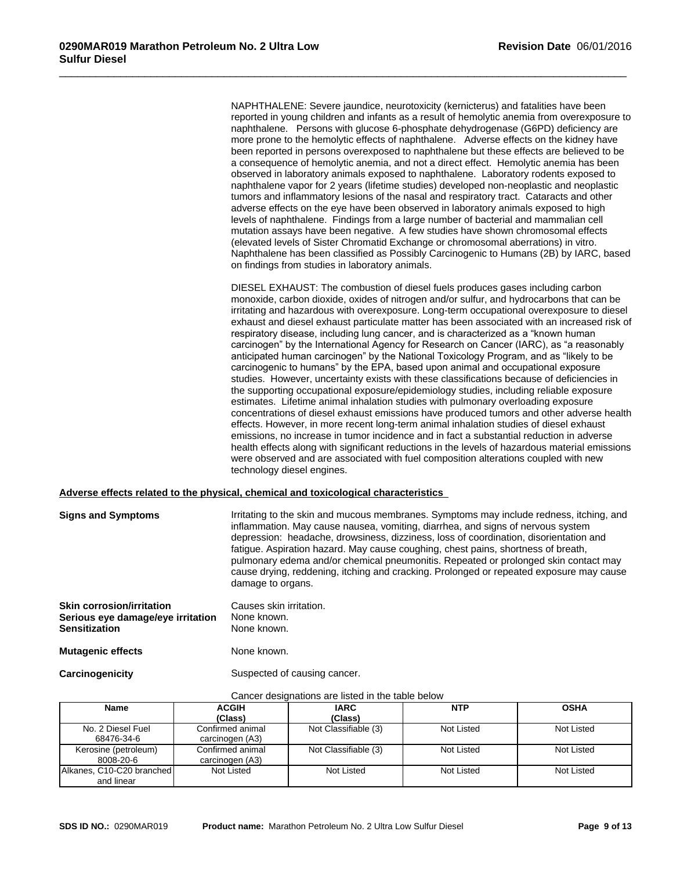NAPHTHALENE: Severe jaundice, neurotoxicity (kernicterus) and fatalities have been reported in young children and infants as a result of hemolytic anemia from overexposure to naphthalene. Persons with glucose 6-phosphate dehydrogenase (G6PD) deficiency are more prone to the hemolytic effects of naphthalene. Adverse effects on the kidney have been reported in persons overexposed to naphthalene but these effects are believed to be a consequence of hemolytic anemia, and not a direct effect. Hemolytic anemia has been observed in laboratory animals exposed to naphthalene. Laboratory rodents exposed to naphthalene vapor for2 years (lifetime studies) developed non-neoplastic and neoplastic tumors and inflammatory lesions of the nasal and respiratory tract. Cataracts and other adverse effects on the eye have been observed in laboratory animals exposed to high levels of naphthalene. Findings from a large number of bacterial and mammalian cell mutation assays have been negative. A few studies have shown chromosomal effects (elevated levels of Sister Chromatid Exchange or chromosomal aberrations) in vitro. Naphthalene has been classified as Possibly Carcinogenic to Humans (2B) by IARC, based on findings from studies in laboratory animals.

 $\overline{\phantom{a}}$  ,  $\overline{\phantom{a}}$  ,  $\overline{\phantom{a}}$  ,  $\overline{\phantom{a}}$  ,  $\overline{\phantom{a}}$  ,  $\overline{\phantom{a}}$  ,  $\overline{\phantom{a}}$  ,  $\overline{\phantom{a}}$  ,  $\overline{\phantom{a}}$  ,  $\overline{\phantom{a}}$  ,  $\overline{\phantom{a}}$  ,  $\overline{\phantom{a}}$  ,  $\overline{\phantom{a}}$  ,  $\overline{\phantom{a}}$  ,  $\overline{\phantom{a}}$  ,  $\overline{\phantom{a}}$ 

DIESEL EXHAUST:The combustion of diesel fuels produces gases including carbon monoxide, carbon dioxide, oxides of nitrogen and/or sulfur, and hydrocarbons that can be irritating and hazardous with overexposure. Long-term occupational overexposure to diesel exhaust and diesel exhaust particulate matter has been associated with an increased risk of respiratory disease, including lung cancer, and is characterized as a "known human carcinogen" by the International Agency for Research on Cancer (IARC), as "a reasonably anticipated human carcinogen" by the National Toxicology Program, and as "likely to be carcinogenic to humans" by the EPA, based upon animal and occupational exposure studies. However, uncertainty exists with these classifications because of deficiencies in the supporting occupational exposure/epidemiology studies, including reliable exposure estimates. Lifetime animal inhalation studies with pulmonary overloading exposure concentrations of diesel exhaust emissions have produced tumors and other adverse health effects. However, in more recent long-term animal inhalation studies of diesel exhaust emissions, no increase in tumor incidence and in fact a substantial reduction in adverse health effects along with significant reductions in the levels of hazardous material emissions were observed and are associated with fuel composition alterations coupled with new technology diesel engines.

### **Adverse effects related to the physical,chemical and toxicologicalcharacteristics**

| <b>Signs and Symptoms</b>         | Irritating to the skin and mucous membranes. Symptoms may include redness, itching, and<br>inflammation. May cause nausea, vomiting, diarrhea, and signs of nervous system<br>depression: headache, drowsiness, dizziness, loss of coordination, disorientation and<br>fatigue. Aspiration hazard. May cause coughing, chest pains, shortness of breath,<br>pulmonary edema and/or chemical pneumonitis. Repeated or prolonged skin contact may<br>cause drying, reddening, itching and cracking. Prolonged or repeated exposure may cause<br>damage to organs. |
|-----------------------------------|-----------------------------------------------------------------------------------------------------------------------------------------------------------------------------------------------------------------------------------------------------------------------------------------------------------------------------------------------------------------------------------------------------------------------------------------------------------------------------------------------------------------------------------------------------------------|
| <b>Skin corrosion/irritation</b>  | Causes skin irritation.                                                                                                                                                                                                                                                                                                                                                                                                                                                                                                                                         |
| Serious eye damage/eye irritation | None known.                                                                                                                                                                                                                                                                                                                                                                                                                                                                                                                                                     |
| <b>Sensitization</b>              | None known.                                                                                                                                                                                                                                                                                                                                                                                                                                                                                                                                                     |

| <b>Mutagenic effects</b> | None known. |
|--------------------------|-------------|
|                          |             |

**Carcinogenicity** Suspected of causing cancer.

### Cancer designations are listed in the table below

| <b>Name</b>               | <b>ACGIH</b>     | <b>IARC</b>          | <b>NTP</b> | <b>OSHA</b> |
|---------------------------|------------------|----------------------|------------|-------------|
|                           | (Class)          | (Class)              |            |             |
| No. 2 Diesel Fuel         | Confirmed animal | Not Classifiable (3) | Not Listed | Not Listed  |
| 68476-34-6                | carcinogen (A3)  |                      |            |             |
| Kerosine (petroleum)      | Confirmed animal | Not Classifiable (3) | Not Listed | Not Listed  |
| 8008-20-6                 | carcinogen (A3)  |                      |            |             |
| Alkanes, C10-C20 branched | Not Listed       | Not Listed           | Not Listed | Not Listed  |
| and linear                |                  |                      |            |             |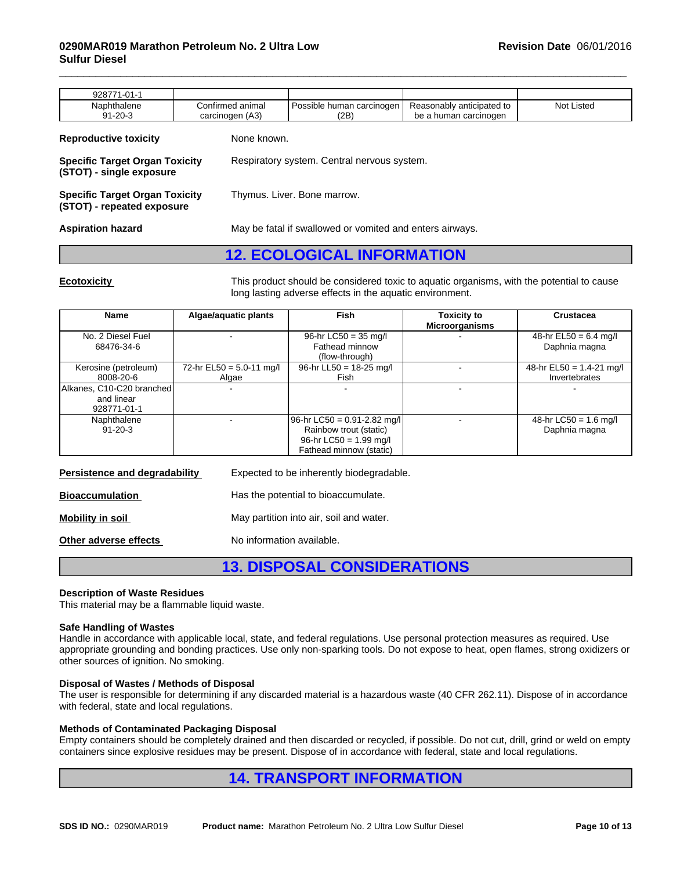| 928771-01-1                                                         |                                     |                                                          |                                                    |            |  |
|---------------------------------------------------------------------|-------------------------------------|----------------------------------------------------------|----------------------------------------------------|------------|--|
| Naphthalene<br>$91 - 20 - 3$                                        | Confirmed animal<br>carcinogen (A3) | Possible human carcinogen<br>(2B)                        | Reasonably anticipated to<br>be a human carcinogen | Not Listed |  |
| <b>Reproductive toxicity</b>                                        |                                     | None known.                                              |                                                    |            |  |
| <b>Specific Target Organ Toxicity</b><br>(STOT) - single exposure   |                                     | Respiratory system. Central nervous system.              |                                                    |            |  |
| <b>Specific Target Organ Toxicity</b><br>(STOT) - repeated exposure |                                     | Thymus. Liver. Bone marrow.                              |                                                    |            |  |
| <b>Aspiration hazard</b>                                            |                                     | May be fatal if swallowed or vomited and enters airways. |                                                    |            |  |

### **12. ECOLOGICAL INFORMATION**

**Ecotoxicity** This product should be considered toxic to aquatic organisms, with the potential to cause long lasting adverse effects in the aquatic environment.

 $\overline{\phantom{a}}$  ,  $\overline{\phantom{a}}$  ,  $\overline{\phantom{a}}$  ,  $\overline{\phantom{a}}$  ,  $\overline{\phantom{a}}$  ,  $\overline{\phantom{a}}$  ,  $\overline{\phantom{a}}$  ,  $\overline{\phantom{a}}$  ,  $\overline{\phantom{a}}$  ,  $\overline{\phantom{a}}$  ,  $\overline{\phantom{a}}$  ,  $\overline{\phantom{a}}$  ,  $\overline{\phantom{a}}$  ,  $\overline{\phantom{a}}$  ,  $\overline{\phantom{a}}$  ,  $\overline{\phantom{a}}$ 

| Name                                                   | Algae/aquatic plants              | <b>Fish</b>                                                                                                      | <b>Toxicity to</b><br><b>Microorganisms</b> | <b>Crustacea</b>                              |
|--------------------------------------------------------|-----------------------------------|------------------------------------------------------------------------------------------------------------------|---------------------------------------------|-----------------------------------------------|
| No. 2 Diesel Fuel<br>68476-34-6                        |                                   | 96-hr $LC50 = 35$ mg/l<br>Fathead minnow<br>(flow-through)                                                       |                                             | 48-hr $EL50 = 6.4$ mg/l<br>Daphnia magna      |
| Kerosine (petroleum)<br>8008-20-6                      | 72-hr EL50 = 5.0-11 mg/l<br>Algae | 96-hr LL50 = $18-25$ mg/l<br>Fish                                                                                |                                             | 48-hr $EL50 = 1.4 - 21$ mg/l<br>Invertebrates |
| Alkanes, C10-C20 branched<br>and linear<br>928771-01-1 |                                   |                                                                                                                  |                                             |                                               |
| Naphthalene<br>$91 - 20 - 3$                           |                                   | 96-hr LC50 = $0.91 - 2.82$ mg/l<br>Rainbow trout (static)<br>96-hr LC50 = $1.99$ mg/l<br>Fathead minnow (static) |                                             | 48-hr LC50 = $1.6$ mg/l<br>Daphnia magna      |

**Persistence and degradability** Expected to be inherently biodegradable.

**Bioaccumulation** Has the potential to bioaccumulate.

**Mobility in soil** May partition into air, soil and water.

**Other adverse effects** No information available.

### **13. DISPOSAL CONSIDERATIONS**

### **Description of Waste Residues**

This material may be a flammable liquid waste.

### **Safe Handling of Wastes**

Handle in accordance with applicable local, state, and federal regulations. Use personal protection measures as required. Use appropriate grounding and bonding practices. Use only non-sparking tools. Do not expose to heat, open flames, strong oxidizers or other sources of ignition. No smoking.

### **Disposal of Wastes / Methods of Disposal**

The user is responsible for determining if any discarded material is a hazardous waste (40 CFR 262.11). Dispose of in accordance with federal, state and local regulations.

### **Methods of Contaminated Packaging Disposal**

Empty containers should be completely drained and then discarded or recycled, if possible. Do not cut, drill, grind or weld on empty containers since explosive residues may be present. Dispose of in accordance with federal, state and local regulations.

### **14. TRANSPORT INFORMATION**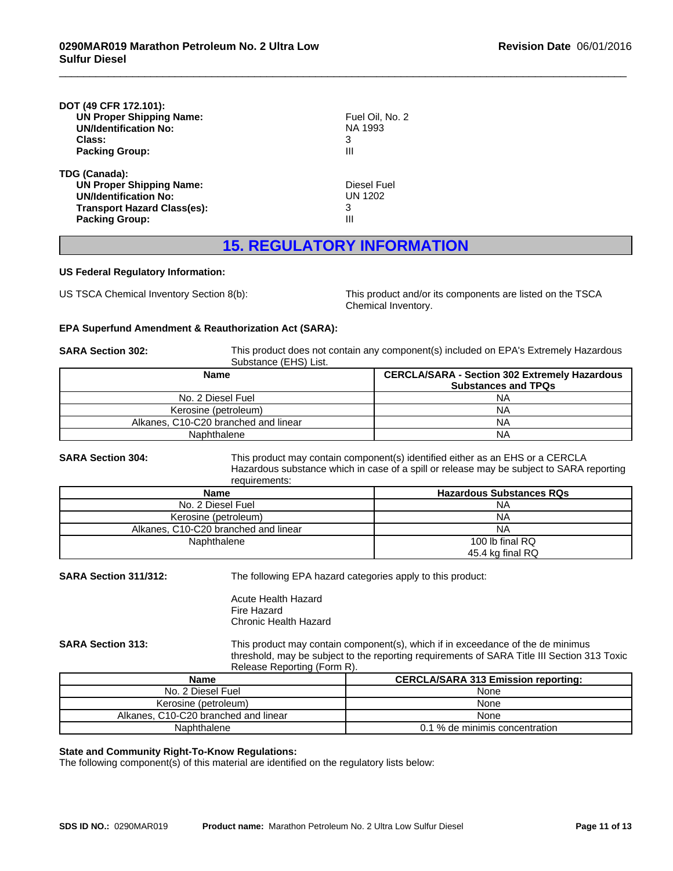| Fuel Oil, No. 2 |  |
|-----------------|--|
| NA 1993         |  |
| 3               |  |
| Ш               |  |
|                 |  |
| Diesel Fuel     |  |
| UN 1202         |  |
| 3               |  |
| Ш               |  |
|                 |  |

### **15. REGULATORY INFORMATION**

### **US Federal Regulatory Information:**

US TSCA Chemical Inventory Section 8(b): This product and/or its components are listed on the TSCA Chemical Inventory.

### **EPA Superfund Amendment & Reauthorization Act (SARA):**

**SARA Section 302:** This product does not contain any component(s) included on EPA's Extremely Hazardous Substance (EHS) List.

 $\overline{\phantom{a}}$  ,  $\overline{\phantom{a}}$  ,  $\overline{\phantom{a}}$  ,  $\overline{\phantom{a}}$  ,  $\overline{\phantom{a}}$  ,  $\overline{\phantom{a}}$  ,  $\overline{\phantom{a}}$  ,  $\overline{\phantom{a}}$  ,  $\overline{\phantom{a}}$  ,  $\overline{\phantom{a}}$  ,  $\overline{\phantom{a}}$  ,  $\overline{\phantom{a}}$  ,  $\overline{\phantom{a}}$  ,  $\overline{\phantom{a}}$  ,  $\overline{\phantom{a}}$  ,  $\overline{\phantom{a}}$ 

| Name                                 | <b>CERCLA/SARA - Section 302 Extremely Hazardous</b><br><b>Substances and TPQs</b> |
|--------------------------------------|------------------------------------------------------------------------------------|
| No. 2 Diesel Fuel                    | ΝA                                                                                 |
| Kerosine (petroleum)                 | ΝA                                                                                 |
| Alkanes, C10-C20 branched and linear | NA                                                                                 |
| Naphthalene                          | <b>NA</b>                                                                          |

**SARA Section 304:** This product may contain component(s) identified either as an EHS or a CERCLA Hazardous substance which in case of a spill or release may be subject to SARA reporting requirements:

| <b>Name</b>                          | <b>Hazardous Substances RQs</b> |
|--------------------------------------|---------------------------------|
| No. 2 Diesel Fuel                    | NΑ                              |
| Kerosine (petroleum)                 | NA                              |
| Alkanes, C10-C20 branched and linear | ΝA                              |
| Naphthalene                          | 100 lb final RQ                 |
|                                      | 45.4 kg final RQ                |

**SARA Section 311/312:** The following EPA hazard categories apply to this product:

Acute Health Hazard Fire Hazard Chronic Health Hazard

**SARA Section 313:** This product may contain component(s), which if in exceedance of the de minimus threshold, may be subject to the reporting requirements of SARA Title III Section 313 Toxic Release Reporting (Form R).

| $\frac{1}{2}$                        |                                            |
|--------------------------------------|--------------------------------------------|
| <b>Name</b>                          | <b>CERCLA/SARA 313 Emission reporting:</b> |
| No. 2 Diesel Fuel                    | None                                       |
| Kerosine (petroleum)                 | None                                       |
| Alkanes, C10-C20 branched and linear | None                                       |
| Naphthalene                          | 0.1 % de minimis concentration             |

### **State and Community Right-To-Know Regulations:**

The following component(s) of this material are identified on the regulatory lists below: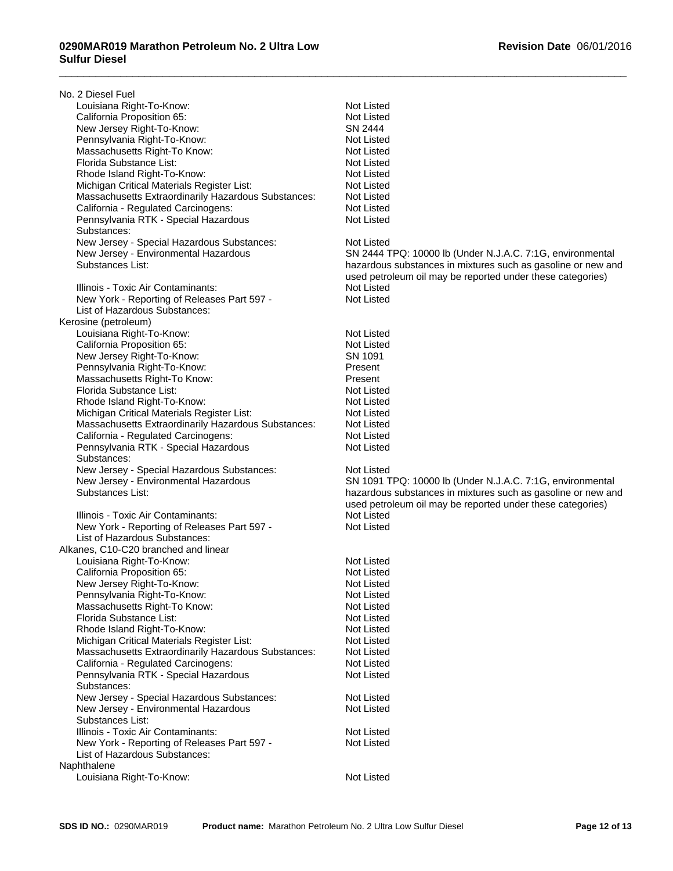No. 2 Diesel Fuel Louisiana Right-To-Know: Not Listed California Proposition 65: Not Listed New Jersey Right-To-Know: SN 2444 Pennsylvania Right-To-Know: Not Listed<br>
Massachusetts Right-To Know: Not Listed<br>
Not Listed Massachusetts Right-To Know: Florida Substance List: Not Listed Rhode Island Right-To-Know: Not Listed Michigan Critical Materials Register List: Not Listed Massachusetts Extraordinarily Hazardous Substances: Not Listed California - Regulated Carcinogens: Not Listed Pennsylvania RTK - Special Hazardous Substances: New Jersey - Special Hazardous Substances: Not Listed New Jersey - Environmental Hazardous Substances List: Illinois - Toxic Air Contaminants: Not Listed New York - Reporting of Releases Part 597 - List of Hazardous Substances: Kerosine (petroleum) Louisiana Right-To-Know: Not Listed California Proposition 65: Not Listed<br>
New Jersey Right-To-Know: Not Listed<br>
New Jersey Right-To-Know: New Jersey Right-To-Know: Pennsylvania Right-To-Know: Present<br>Massachusetts Right-To-Know: Present Massachusetts Right-To Know: Florida Substance List: Not Listed Rhode Island Right-To-Know: Not Listed Michigan Critical Materials Register List: Not Listed Massachusetts Extraordinarily Hazardous Substances: Not Listed<br>California - Regulated Carcinogens: Not Listed California - Regulated Carcinogens: Pennsylvania RTK - Special Hazardous Substances: New Jersey - Special Hazardous Substances: Not Listed New Jersey - Environmental Hazardous Substances List: Illinois - Toxic Air Contaminants: New York - Reporting of Releases Part 597 - List of Hazardous Substances: Alkanes, C10-C20 branched and linear Louisiana Right-To-Know: Not Listed California Proposition 65: Not Listed New Jersey Right-To-Know: New Jersey Right-To-Know: Pennsylvania Right-To-Know: Not Listed Massachusetts Right-To Know: Not Listed Florida Substance List: Not Listed Rhode Island Right-To-Know: Not Listed Michigan Critical Materials Register List: Not Listed<br>Massachusetts Extraordinarily Hazardous Substances: Not Listed Massachusetts Extraordinarily Hazardous Substances: California - Regulated Carcinogens: Not Listed Pennsylvania RTK - Special Hazardous Substances: New Jersey - Special Hazardous Substances: Not Listed New Jersey - Environmental Hazardous Substances List: Illinois - Toxic Air Contaminants: Not Listed New York - Reporting of Releases Part 597 - List of Hazardous Substances: Naphthalene Louisiana Right-To-Know: Not Listed

Not Listed SN 2444 TPQ: 10000 lb (Under N.J.A.C. 7:1G, environmental hazardous substances in mixtures such as gasoline or new and used petroleum oil may be reported under these categories) Not Listed Not Listed SN 1091 TPQ: 10000 lb (Under N.J.A.C. 7:1G, environmental hazardous substances in mixtures such as gasoline or new and used petroleum oil may be reported under these categories)<br>Not Listed Not Listed Not Listed Not Listed Not Listed

 $\overline{\phantom{a}}$  ,  $\overline{\phantom{a}}$  ,  $\overline{\phantom{a}}$  ,  $\overline{\phantom{a}}$  ,  $\overline{\phantom{a}}$  ,  $\overline{\phantom{a}}$  ,  $\overline{\phantom{a}}$  ,  $\overline{\phantom{a}}$  ,  $\overline{\phantom{a}}$  ,  $\overline{\phantom{a}}$  ,  $\overline{\phantom{a}}$  ,  $\overline{\phantom{a}}$  ,  $\overline{\phantom{a}}$  ,  $\overline{\phantom{a}}$  ,  $\overline{\phantom{a}}$  ,  $\overline{\phantom{a}}$